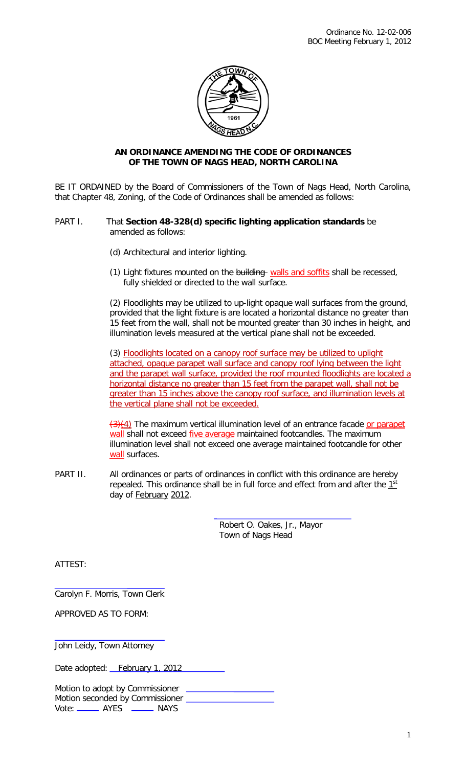

## **AN ORDINANCE AMENDING THE CODE OF ORDINANCES OF THE TOWN OF NAGS HEAD, NORTH CAROLINA**

BE IT ORDAINED by the Board of Commissioners of the Town of Nags Head, North Carolina, that Chapter 48, Zoning, of the Code of Ordinances shall be amended as follows:

## PART I. That **Section 48-328(d) specific lighting application standards** be amended as follows:

- (d) Architectural and interior lighting.
- (1) Light fixtures mounted on the building walls and soffits shall be recessed, fully shielded or directed to the wall surface.

(2) Floodlights may be utilized to up-light opaque wall surfaces from the ground, provided that the light fixture is are located a horizontal distance no greater than 15 feet from the wall, shall not be mounted greater than 30 inches in height, and illumination levels measured at the vertical plane shall not be exceeded.

(3) Floodlights located on a canopy roof surface may be utilized to uplight attached, opaque parapet wall surface and canopy roof lying between the light and the parapet wall surface, provided the roof mounted floodlights are located a horizontal distance no greater than 15 feet from the parapet wall, shall not be greater than 15 inches above the canopy roof surface, and illumination levels at the vertical plane shall not be exceeded.

(3)(4) The maximum vertical illumination level of an entrance facade or parapet wall shall not exceed five average maintained footcandles. The maximum illumination level shall not exceed one average maintained footcandle for other wall surfaces.

PART II. All ordinances or parts of ordinances in conflict with this ordinance are hereby repealed. This ordinance shall be in full force and effect from and after the  $1<sup>st</sup>$ day of February 2012.

> Robert O. Oakes, Jr., Mayor Town of Nags Head

ATTEST:

Carolyn F. Morris, Town Clerk

APPROVED AS TO FORM:

John Leidy, Town Attorney

Date adopted: February 1, 2012

Motion to adopt by Commissioner Motion seconded by Commissioner Vote: \_\_\_\_\_\_\_ AYES \_\_\_\_\_\_ NAYS